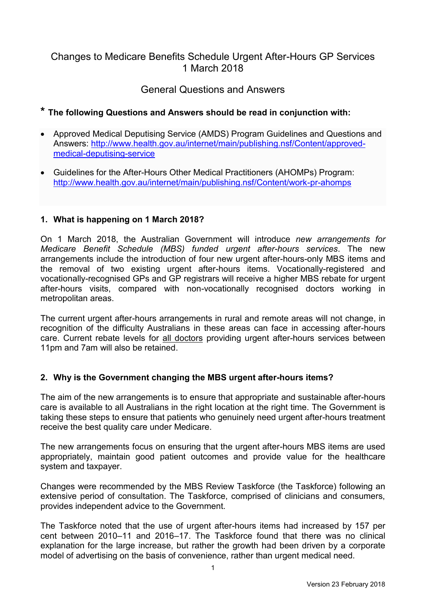# Changes to Medicare Benefits Schedule Urgent After-Hours GP Services 1 March 2018

# General Questions and Answers

# **\* The following Questions and Answers should be read in conjunction with:**

- Approved Medical Deputising Service (AMDS) Program Guidelines and Questions and Answers: [http://www.health.gov.au/internet/main/publishing.nsf/Content/approved](http://www.health.gov.au/internet/main/publishing.nsf/Content/approved-medical-deputising-service)[medical-deputising-service](http://www.health.gov.au/internet/main/publishing.nsf/Content/approved-medical-deputising-service)
- Guidelines for the After-Hours Other Medical Practitioners (AHOMPs) Program: <http://www.health.gov.au/internet/main/publishing.nsf/Content/work-pr-ahomps>

### **1. What is happening on 1 March 2018?**

On 1 March 2018, the Australian Government will introduce *new arrangements for Medicare Benefit Schedule (MBS) funded urgent after-hours services*. The new arrangements include the introduction of four new urgent after-hours-only MBS items and the removal of two existing urgent after-hours items. Vocationally-registered and vocationally-recognised GPs and GP registrars will receive a higher MBS rebate for urgent after-hours visits, compared with non-vocationally recognised doctors working in metropolitan areas.

The current urgent after-hours arrangements in rural and remote areas will not change, in recognition of the difficulty Australians in these areas can face in accessing after-hours care. Current rebate levels for all doctors providing urgent after-hours services between 11pm and 7am will also be retained.

#### **2. Why is the Government changing the MBS urgent after-hours items?**

The aim of the new arrangements is to ensure that appropriate and sustainable after-hours care is available to all Australians in the right location at the right time. The Government is taking these steps to ensure that patients who genuinely need urgent after-hours treatment receive the best quality care under Medicare.

The new arrangements focus on ensuring that the urgent after-hours MBS items are used appropriately, maintain good patient outcomes and provide value for the healthcare system and taxpayer.

Changes were recommended by the MBS Review Taskforce (the Taskforce) following an extensive period of consultation. The Taskforce, comprised of clinicians and consumers, provides independent advice to the Government.

The Taskforce noted that the use of urgent after-hours items had increased by 157 per cent between 2010–11 and 2016–17. The Taskforce found that there was no clinical explanation for the large increase, but rather the growth had been driven by a corporate model of advertising on the basis of convenience, rather than urgent medical need.

1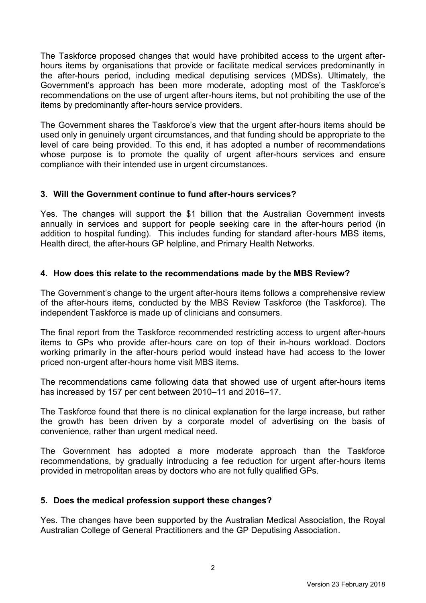The Taskforce proposed changes that would have prohibited access to the urgent afterhours items by organisations that provide or facilitate medical services predominantly in the after-hours period, including medical deputising services (MDSs). Ultimately, the Government's approach has been more moderate, adopting most of the Taskforce's recommendations on the use of urgent after-hours items, but not prohibiting the use of the items by predominantly after-hours service providers.

The Government shares the Taskforce's view that the urgent after-hours items should be used only in genuinely urgent circumstances, and that funding should be appropriate to the level of care being provided. To this end, it has adopted a number of recommendations whose purpose is to promote the quality of urgent after-hours services and ensure compliance with their intended use in urgent circumstances.

### **3. Will the Government continue to fund after-hours services?**

Yes. The changes will support the \$1 billion that the Australian Government invests annually in services and support for people seeking care in the after-hours period (in addition to hospital funding). This includes funding for standard after-hours MBS items, Health direct, the after-hours GP helpline, and Primary Health Networks.

## **4. How does this relate to the recommendations made by the MBS Review?**

The Government's change to the urgent after-hours items follows a comprehensive review of the after-hours items, conducted by the MBS Review Taskforce (the Taskforce). The independent Taskforce is made up of clinicians and consumers.

The final report from the Taskforce recommended restricting access to urgent after-hours items to GPs who provide after-hours care on top of their in-hours workload. Doctors working primarily in the after-hours period would instead have had access to the lower priced non-urgent after-hours home visit MBS items.

The recommendations came following data that showed use of urgent after-hours items has increased by 157 per cent between 2010–11 and 2016–17.

The Taskforce found that there is no clinical explanation for the large increase, but rather the growth has been driven by a corporate model of advertising on the basis of convenience, rather than urgent medical need.

The Government has adopted a more moderate approach than the Taskforce recommendations, by gradually introducing a fee reduction for urgent after-hours items provided in metropolitan areas by doctors who are not fully qualified GPs.

#### **5. Does the medical profession support these changes?**

Yes. The changes have been supported by the Australian Medical Association, the Royal Australian College of General Practitioners and the GP Deputising Association.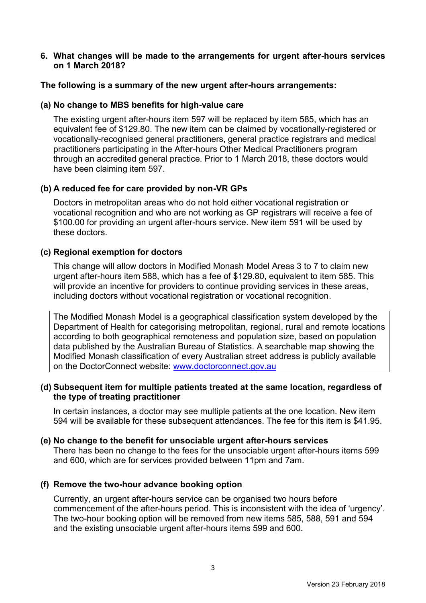#### **6. What changes will be made to the arrangements for urgent after-hours services on 1 March 2018?**

#### **The following is a summary of the new urgent after-hours arrangements:**

#### **(a) No change to MBS benefits for high-value care**

The existing urgent after-hours item 597 will be replaced by item 585, which has an equivalent fee of \$129.80. The new item can be claimed by vocationally-registered or vocationally-recognised general practitioners, general practice registrars and medical practitioners participating in the After-hours Other Medical Practitioners program through an accredited general practice. Prior to 1 March 2018, these doctors would have been claiming item 597.

### **(b) A reduced fee for care provided by non-VR GPs**

Doctors in metropolitan areas who do not hold either vocational registration or vocational recognition and who are not working as GP registrars will receive a fee of \$100.00 for providing an urgent after-hours service. New item 591 will be used by these doctors.

### **(c) Regional exemption for doctors**

This change will allow doctors in Modified Monash Model Areas 3 to 7 to claim new urgent after-hours item 588, which has a fee of \$129.80, equivalent to item 585. This will provide an incentive for providers to continue providing services in these areas, including doctors without vocational registration or vocational recognition.

The Modified Monash Model is a geographical classification system developed by the Department of Health for categorising metropolitan, regional, rural and remote locations according to both geographical remoteness and population size, based on population data published by the Australian Bureau of Statistics. A searchable map showing the Modified Monash classification of every Australian street address is publicly available on the DoctorConnect website: [www.doctorconnect.gov.au](http://www.doctorconnect.gov.au/)

#### **(d) Subsequent item for multiple patients treated at the same location, regardless of the type of treating practitioner**

In certain instances, a doctor may see multiple patients at the one location. New item 594 will be available for these subsequent attendances. The fee for this item is \$41.95.

#### **(e) No change to the benefit for unsociable urgent after-hours services**

There has been no change to the fees for the unsociable urgent after-hours items 599 and 600, which are for services provided between 11pm and 7am.

#### **(f) Remove the two-hour advance booking option**

Currently, an urgent after-hours service can be organised two hours before commencement of the after-hours period. This is inconsistent with the idea of 'urgency'. The two-hour booking option will be removed from new items 585, 588, 591 and 594 and the existing unsociable urgent after-hours items 599 and 600.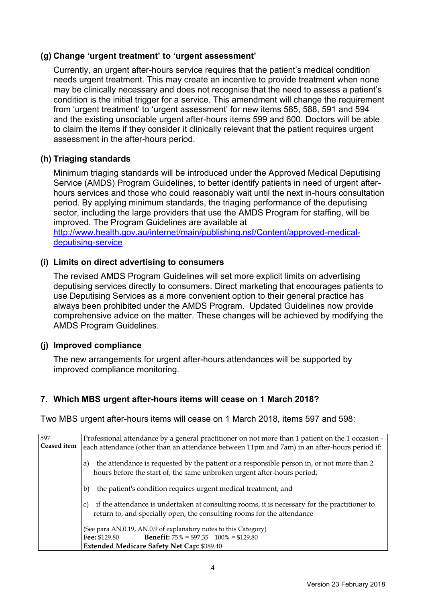#### **(g) Change 'urgent treatment' to 'urgent assessment'**

Currently, an urgent after-hours service requires that the patient's medical condition needs urgent treatment. This may create an incentive to provide treatment when none may be clinically necessary and does not recognise that the need to assess a patient's condition is the initial trigger for a service. This amendment will change the requirement from 'urgent treatment' to 'urgent assessment' for new items 585, 588, 591 and 594 and the existing unsociable urgent after-hours items 599 and 600. Doctors will be able to claim the items if they consider it clinically relevant that the patient requires urgent assessment in the after-hours period.

## **(h) Triaging standards**

Minimum triaging standards will be introduced under the Approved Medical Deputising Service (AMDS) Program Guidelines, to better identify patients in need of urgent afterhours services and those who could reasonably wait until the next in-hours consultation period. By applying minimum standards, the triaging performance of the deputising sector, including the large providers that use the AMDS Program for staffing, will be improved. The Program Guidelines are available at [http://www.health.gov.au/internet/main/publishing.nsf/Content/approved-medical-](http://www.health.gov.au/internet/main/publishing.nsf/Content/approved-medical-deputising-service)

[deputising-service](http://www.health.gov.au/internet/main/publishing.nsf/Content/approved-medical-deputising-service)

#### **(i) Limits on direct advertising to consumers**

The revised AMDS Program Guidelines will set more explicit limits on advertising deputising services directly to consumers. Direct marketing that encourages patients to use Deputising Services as a more convenient option to their general practice has always been prohibited under the AMDS Program. Updated Guidelines now provide comprehensive advice on the matter. These changes will be achieved by modifying the AMDS Program Guidelines.

#### **(j) Improved compliance**

The new arrangements for urgent after-hours attendances will be supported by improved compliance monitoring.

#### **7. Which MBS urgent after-hours items will cease on 1 March 2018?**

Two MBS urgent after-hours items will cease on 1 March 2018, items 597 and 598:

| 597         | Professional attendance by a general practitioner on not more than 1 patient on the 1 occasion -                                                                             |
|-------------|------------------------------------------------------------------------------------------------------------------------------------------------------------------------------|
| Ceased item | each attendance (other than an attendance between 11pm and 7am) in an after-hours period if:                                                                                 |
|             | the attendance is requested by the patient or a responsible person in, or not more than 2<br>a)<br>hours before the start of, the same unbroken urgent after-hours period;   |
|             | the patient's condition requires urgent medical treatment; and<br>b)                                                                                                         |
|             | if the attendance is undertaken at consulting rooms, it is necessary for the practitioner to<br>C)<br>return to, and specially open, the consulting rooms for the attendance |
|             | (See para AN.0.19, AN.0.9 of explanatory notes to this Category)                                                                                                             |
|             | <b>Benefit:</b> $75\% = $97.35$ $100\% = $129.80$<br><b>Fee:</b> \$129.80                                                                                                    |
|             | Extended Medicare Safety Net Cap: \$389.40                                                                                                                                   |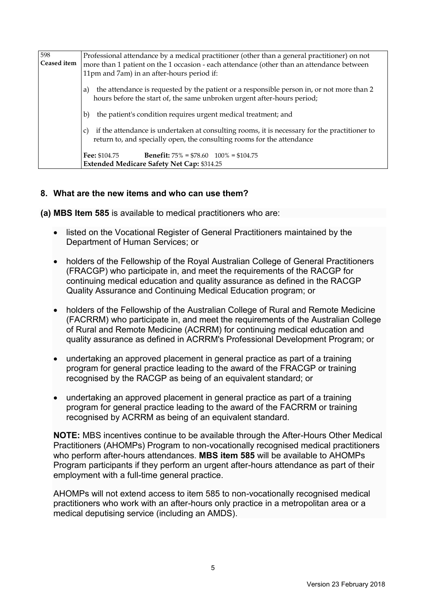| 598<br>Ceased item | Professional attendance by a medical practitioner (other than a general practitioner) on not<br>more than 1 patient on the 1 occasion - each attendance (other than an attendance between |
|--------------------|-------------------------------------------------------------------------------------------------------------------------------------------------------------------------------------------|
|                    | 11pm and 7am) in an after-hours period if:                                                                                                                                                |
|                    | the attendance is requested by the patient or a responsible person in, or not more than 2<br>a)<br>hours before the start of, the same unbroken urgent after-hours period;                |
|                    | the patient's condition requires urgent medical treatment; and<br>b)                                                                                                                      |
|                    | if the attendance is undertaken at consulting rooms, it is necessary for the practitioner to<br>C)<br>return to, and specially open, the consulting rooms for the attendance              |
|                    | <b>Benefit:</b> $75\% = $78.60 \quad 100\% = $104.75$<br><b>Fee: \$104.75</b>                                                                                                             |
|                    | <b>Extended Medicare Safety Net Cap: \$314.25</b>                                                                                                                                         |

#### **8. What are the new items and who can use them?**

**(a) MBS Item 585** is available to medical practitioners who are:

- listed on the Vocational Register of General Practitioners maintained by the Department of Human Services; or
- holders of the Fellowship of the Royal Australian College of General Practitioners (FRACGP) who participate in, and meet the requirements of the RACGP for continuing medical education and quality assurance as defined in the RACGP Quality Assurance and Continuing Medical Education program; or
- holders of the Fellowship of the Australian College of Rural and Remote Medicine (FACRRM) who participate in, and meet the requirements of the Australian College of Rural and Remote Medicine (ACRRM) for continuing medical education and quality assurance as defined in ACRRM's Professional Development Program; or
- undertaking an approved placement in general practice as part of a training program for general practice leading to the award of the FRACGP or training recognised by the RACGP as being of an equivalent standard; or
- undertaking an approved placement in general practice as part of a training program for general practice leading to the award of the FACRRM or training recognised by ACRRM as being of an equivalent standard.

**NOTE:** MBS incentives continue to be available through the After-Hours Other Medical Practitioners (AHOMPs) Program to non-vocationally recognised medical practitioners who perform after-hours attendances. **MBS item 585** will be available to AHOMPs Program participants if they perform an urgent after-hours attendance as part of their employment with a full-time general practice.

AHOMPs will not extend access to item 585 to non-vocationally recognised medical practitioners who work with an after-hours only practice in a metropolitan area or a medical deputising service (including an AMDS).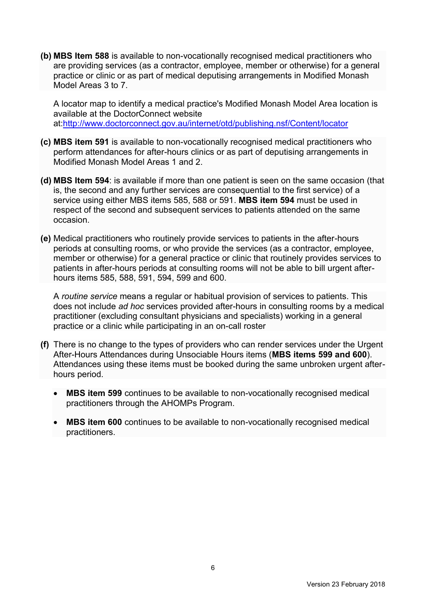**(b) MBS Item 588** is available to non-vocationally recognised medical practitioners who are providing services (as a contractor, employee, member or otherwise) for a general practice or clinic or as part of medical deputising arrangements in Modified Monash Model Areas 3 to 7.

A locator map to identify a medical practice's Modified Monash Model Area location is available at the DoctorConnect website at[:http://www.doctorconnect.gov.au/internet/otd/publishing.nsf/Content/locator](http://www.doctorconnect.gov.au/internet/otd/publishing.nsf/Content/locator)

- **(c) MBS item 591** is available to non-vocationally recognised medical practitioners who perform attendances for after-hours clinics or as part of deputising arrangements in Modified Monash Model Areas 1 and 2.
- **(d) MBS Item 594**: is available if more than one patient is seen on the same occasion (that is, the second and any further services are consequential to the first service) of a service using either MBS items 585, 588 or 591. **MBS item 594** must be used in respect of the second and subsequent services to patients attended on the same occasion.
- **(e)** Medical practitioners who routinely provide services to patients in the after-hours periods at consulting rooms, or who provide the services (as a contractor, employee, member or otherwise) for a general practice or clinic that routinely provides services to patients in after-hours periods at consulting rooms will not be able to bill urgent afterhours items 585, 588, 591, 594, 599 and 600.

A *routine service* means a regular or habitual provision of services to patients. This does not include *ad hoc* services provided after-hours in consulting rooms by a medical practitioner (excluding consultant physicians and specialists) working in a general practice or a clinic while participating in an on-call roster

- **(f)** There is no change to the types of providers who can render services under the Urgent After-Hours Attendances during Unsociable Hours items (**MBS items 599 and 600**). Attendances using these items must be booked during the same unbroken urgent afterhours period.
	- **MBS item 599** continues to be available to non-vocationally recognised medical practitioners through the AHOMPs Program.
	- **MBS item 600** continues to be available to non-vocationally recognised medical practitioners.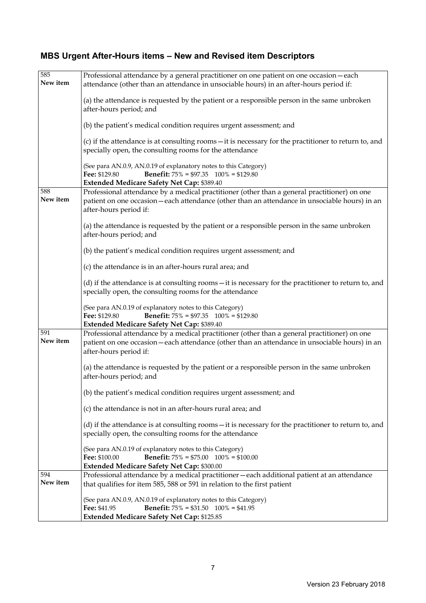# **MBS Urgent After-Hours items – New and Revised item Descriptors**

| 585<br>New item | Professional attendance by a general practitioner on one patient on one occasion - each<br>attendance (other than an attendance in unsociable hours) in an after-hours period if:                                        |
|-----------------|--------------------------------------------------------------------------------------------------------------------------------------------------------------------------------------------------------------------------|
|                 | (a) the attendance is requested by the patient or a responsible person in the same unbroken<br>after-hours period; and                                                                                                   |
|                 | (b) the patient's medical condition requires urgent assessment; and                                                                                                                                                      |
|                 | (c) if the attendance is at consulting rooms – it is necessary for the practitioner to return to, and<br>specially open, the consulting rooms for the attendance                                                         |
|                 | (See para AN.0.9, AN.0.19 of explanatory notes to this Category)<br><b>Benefit:</b> $75\% = $97.35$ $100\% = $129.80$<br>Fee: \$129.80<br>Extended Medicare Safety Net Cap: \$389.40                                     |
| 588<br>New item | Professional attendance by a medical practitioner (other than a general practitioner) on one<br>patient on one occasion - each attendance (other than an attendance in unsociable hours) in an<br>after-hours period if: |
|                 | (a) the attendance is requested by the patient or a responsible person in the same unbroken<br>after-hours period; and                                                                                                   |
|                 | (b) the patient's medical condition requires urgent assessment; and                                                                                                                                                      |
|                 | (c) the attendance is in an after-hours rural area; and                                                                                                                                                                  |
|                 | (d) if the attendance is at consulting rooms - it is necessary for the practitioner to return to, and<br>specially open, the consulting rooms for the attendance                                                         |
|                 | (See para AN.0.19 of explanatory notes to this Category)<br>Fee: \$129.80<br><b>Benefit:</b> $75\% = $97.35$ $100\% = $129.80$<br>Extended Medicare Safety Net Cap: \$389.40                                             |
| 591<br>New item | Professional attendance by a medical practitioner (other than a general practitioner) on one<br>patient on one occasion - each attendance (other than an attendance in unsociable hours) in an<br>after-hours period if: |
|                 | (a) the attendance is requested by the patient or a responsible person in the same unbroken<br>after-hours period; and                                                                                                   |
|                 | (b) the patient's medical condition requires urgent assessment; and                                                                                                                                                      |
|                 | (c) the attendance is not in an after-hours rural area; and                                                                                                                                                              |
|                 | (d) if the attendance is at consulting rooms – it is necessary for the practitioner to return to, and<br>specially open, the consulting rooms for the attendance                                                         |
|                 | (See para AN.0.19 of explanatory notes to this Category)<br>Fee: \$100.00<br><b>Benefit:</b> $75\% = $75.00$ $100\% = $100.00$<br>Extended Medicare Safety Net Cap: \$300.00                                             |
| 594             | Professional attendance by a medical practitioner - each additional patient at an attendance                                                                                                                             |
| New item        | that qualifies for item 585, 588 or 591 in relation to the first patient                                                                                                                                                 |
|                 | (See para AN.0.9, AN.0.19 of explanatory notes to this Category)<br>Fee: \$41.95<br><b>Benefit:</b> $75\% = $31.50$ $100\% = $41.95$                                                                                     |
|                 | Extended Medicare Safety Net Cap: \$125.85                                                                                                                                                                               |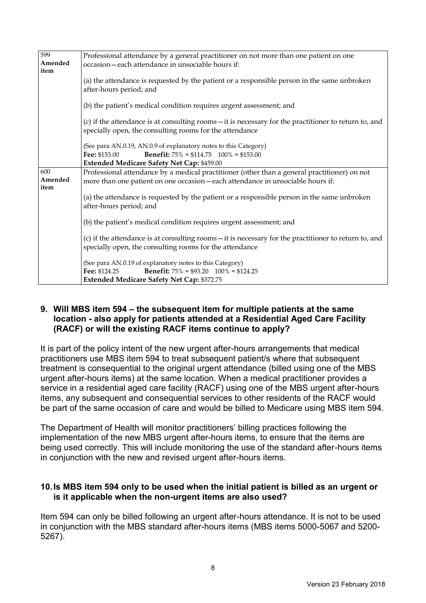| 599     | Professional attendance by a general practitioner on not more than one patient on one                                          |
|---------|--------------------------------------------------------------------------------------------------------------------------------|
| Amended | occasion-each attendance in unsociable hours if:                                                                               |
| item    |                                                                                                                                |
|         | (a) the attendance is requested by the patient or a responsible person in the same unbroken                                    |
|         | after-hours period; and                                                                                                        |
|         |                                                                                                                                |
|         | (b) the patient's medical condition requires urgent assessment; and                                                            |
|         |                                                                                                                                |
|         | (c) if the attendance is at consulting rooms – it is necessary for the practitioner to return to, and                          |
|         | specially open, the consulting rooms for the attendance                                                                        |
|         | (See para AN.0.19, AN.0.9 of explanatory notes to this Category)                                                               |
|         | <b>Benefit:</b> $75\% = $114.75$ $100\% = $153.00$<br>Fee: \$153.00                                                            |
|         | Extended Medicare Safety Net Cap: \$459.00                                                                                     |
| 600     | Professional attendance by a medical practitioner (other than a general practitioner) on not                                   |
| Amended | more than one patient on one occasion - each attendance in unsociable hours if:                                                |
| item    |                                                                                                                                |
|         | (a) the attendance is requested by the patient or a responsible person in the same unbroken                                    |
|         | after-hours period; and                                                                                                        |
|         |                                                                                                                                |
|         | (b) the patient's medical condition requires urgent assessment; and                                                            |
|         |                                                                                                                                |
|         | (c) if the attendance is at consulting rooms – it is necessary for the practitioner to return to, and                          |
|         | specially open, the consulting rooms for the attendance                                                                        |
|         |                                                                                                                                |
|         | (See para AN.0.19 of explanatory notes to this Category)<br><b>Benefit:</b> $75\% = $93.20$ $100\% = $124.25$<br>Fee: \$124.25 |
|         |                                                                                                                                |
|         | Extended Medicare Safety Net Cap: \$372.75                                                                                     |

#### **9. Will MBS item 594 – the subsequent item for multiple patients at the same location - also apply for patients attended at a Residential Aged Care Facility (RACF) or will the existing RACF items continue to apply?**

It is part of the policy intent of the new urgent after-hours arrangements that medical practitioners use MBS item 594 to treat subsequent patient/s where that subsequent treatment is consequential to the original urgent attendance (billed using one of the MBS urgent after-hours items) at the same location. When a medical practitioner provides a service in a residential aged care facility (RACF) using one of the MBS urgent after-hours items, any subsequent and consequential services to other residents of the RACF would be part of the same occasion of care and would be billed to Medicare using MBS item 594.

The Department of Health will monitor practitioners' billing practices following the implementation of the new MBS urgent after-hours items, to ensure that the items are being used correctly. This will include monitoring the use of the standard after-hours items in conjunction with the new and revised urgent after-hours items.

#### **10.Is MBS item 594 only to be used when the initial patient is billed as an urgent or is it applicable when the non-urgent items are also used?**

Item 594 can only be billed following an urgent after-hours attendance. It is not to be used in conjunction with the MBS standard after-hours items (MBS items 5000-5067 and 5200- 5267).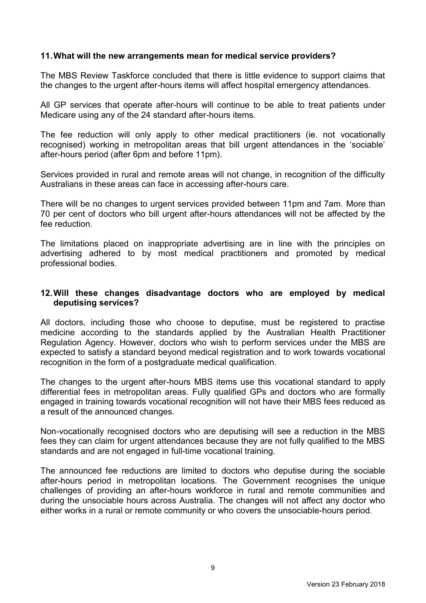#### **11.What will the new arrangements mean for medical service providers?**

The MBS Review Taskforce concluded that there is little evidence to support claims that the changes to the urgent after-hours items will affect hospital emergency attendances.

All GP services that operate after-hours will continue to be able to treat patients under Medicare using any of the 24 standard after-hours items.

The fee reduction will only apply to other medical practitioners (ie. not vocationally recognised) working in metropolitan areas that bill urgent attendances in the 'sociable' after-hours period (after 6pm and before 11pm).

Services provided in rural and remote areas will not change, in recognition of the difficulty Australians in these areas can face in accessing after-hours care.

There will be no changes to urgent services provided between 11pm and 7am. More than 70 per cent of doctors who bill urgent after-hours attendances will not be affected by the fee reduction.

The limitations placed on inappropriate advertising are in line with the principles on advertising adhered to by most medical practitioners and promoted by medical professional bodies.

#### **12.Will these changes disadvantage doctors who are employed by medical deputising services?**

All doctors, including those who choose to deputise, must be registered to practise medicine according to the standards applied by the Australian Health Practitioner Regulation Agency. However, doctors who wish to perform services under the MBS are expected to satisfy a standard beyond medical registration and to work towards vocational recognition in the form of a postgraduate medical qualification.

The changes to the urgent after-hours MBS items use this vocational standard to apply differential fees in metropolitan areas. Fully qualified GPs and doctors who are formally engaged in training towards vocational recognition will not have their MBS fees reduced as a result of the announced changes.

Non-vocationally recognised doctors who are deputising will see a reduction in the MBS fees they can claim for urgent attendances because they are not fully qualified to the MBS standards and are not engaged in full-time vocational training.

The announced fee reductions are limited to doctors who deputise during the sociable after-hours period in metropolitan locations. The Government recognises the unique challenges of providing an after-hours workforce in rural and remote communities and during the unsociable hours across Australia. The changes will not affect any doctor who either works in a rural or remote community or who covers the unsociable-hours period.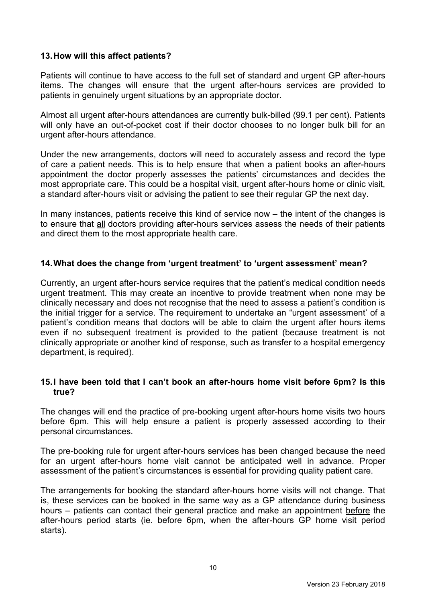### **13.How will this affect patients?**

Patients will continue to have access to the full set of standard and urgent GP after-hours items. The changes will ensure that the urgent after-hours services are provided to patients in genuinely urgent situations by an appropriate doctor.

Almost all urgent after-hours attendances are currently bulk-billed (99.1 per cent). Patients will only have an out-of-pocket cost if their doctor chooses to no longer bulk bill for an urgent after-hours attendance.

Under the new arrangements, doctors will need to accurately assess and record the type of care a patient needs. This is to help ensure that when a patient books an after-hours appointment the doctor properly assesses the patients' circumstances and decides the most appropriate care. This could be a hospital visit, urgent after-hours home or clinic visit, a standard after-hours visit or advising the patient to see their regular GP the next day.

In many instances, patients receive this kind of service now – the intent of the changes is to ensure that all doctors providing after-hours services assess the needs of their patients and direct them to the most appropriate health care.

### **14.What does the change from 'urgent treatment' to 'urgent assessment' mean?**

Currently, an urgent after-hours service requires that the patient's medical condition needs urgent treatment. This may create an incentive to provide treatment when none may be clinically necessary and does not recognise that the need to assess a patient's condition is the initial trigger for a service. The requirement to undertake an "urgent assessment' of a patient's condition means that doctors will be able to claim the urgent after hours items even if no subsequent treatment is provided to the patient (because treatment is not clinically appropriate or another kind of response, such as transfer to a hospital emergency department, is required).

#### **15.I have been told that I can't book an after-hours home visit before 6pm? Is this true?**

The changes will end the practice of pre-booking urgent after-hours home visits two hours before 6pm. This will help ensure a patient is properly assessed according to their personal circumstances.

The pre-booking rule for urgent after-hours services has been changed because the need for an urgent after-hours home visit cannot be anticipated well in advance. Proper assessment of the patient's circumstances is essential for providing quality patient care.

The arrangements for booking the standard after-hours home visits will not change. That is, these services can be booked in the same way as a GP attendance during business hours – patients can contact their general practice and make an appointment before the after-hours period starts (ie. before 6pm, when the after-hours GP home visit period starts).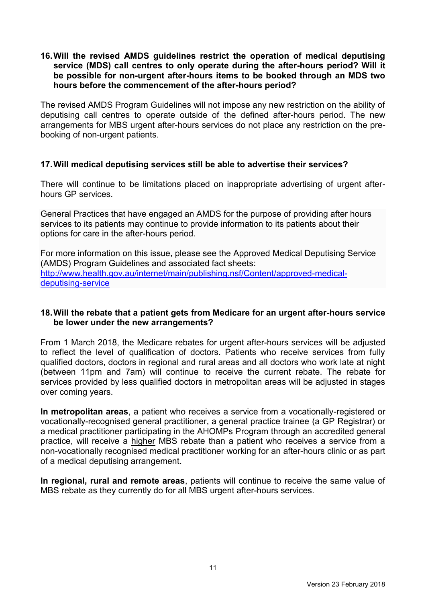#### **16.Will the revised AMDS guidelines restrict the operation of medical deputising service (MDS) call centres to only operate during the after-hours period? Will it be possible for non-urgent after-hours items to be booked through an MDS two hours before the commencement of the after-hours period?**

The revised AMDS Program Guidelines will not impose any new restriction on the ability of deputising call centres to operate outside of the defined after-hours period. The new arrangements for MBS urgent after-hours services do not place any restriction on the prebooking of non-urgent patients.

#### **17.Will medical deputising services still be able to advertise their services?**

There will continue to be limitations placed on inappropriate advertising of urgent afterhours GP services.

General Practices that have engaged an AMDS for the purpose of providing after hours services to its patients may continue to provide information to its patients about their options for care in the after-hours period.

For more information on this issue, please see the Approved Medical Deputising Service (AMDS) Program Guidelines and associated fact sheets: [http://www.health.gov.au/internet/main/publishing.nsf/Content/approved-medical](http://www.health.gov.au/internet/main/publishing.nsf/Content/approved-medical-deputising-service)[deputising-service](http://www.health.gov.au/internet/main/publishing.nsf/Content/approved-medical-deputising-service)

#### **18.Will the rebate that a patient gets from Medicare for an urgent after-hours service be lower under the new arrangements?**

From 1 March 2018, the Medicare rebates for urgent after-hours services will be adjusted to reflect the level of qualification of doctors. Patients who receive services from fully qualified doctors, doctors in regional and rural areas and all doctors who work late at night (between 11pm and 7am) will continue to receive the current rebate. The rebate for services provided by less qualified doctors in metropolitan areas will be adjusted in stages over coming years.

**In metropolitan areas**, a patient who receives a service from a vocationally-registered or vocationally-recognised general practitioner, a general practice trainee (a GP Registrar) or a medical practitioner participating in the AHOMPs Program through an accredited general practice, will receive a higher MBS rebate than a patient who receives a service from a non-vocationally recognised medical practitioner working for an after-hours clinic or as part of a medical deputising arrangement.

**In regional, rural and remote areas**, patients will continue to receive the same value of MBS rebate as they currently do for all MBS urgent after-hours services.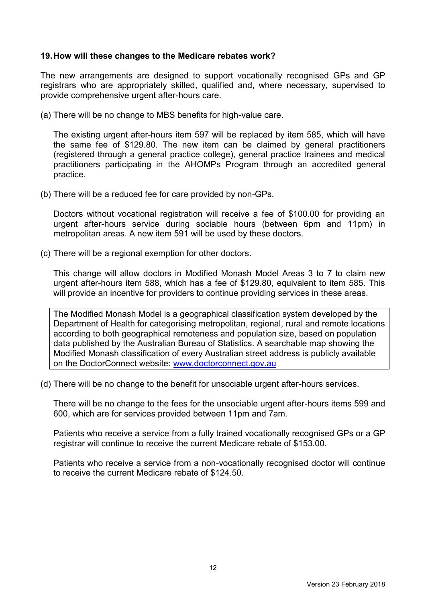#### **19.How will these changes to the Medicare rebates work?**

The new arrangements are designed to support vocationally recognised GPs and GP registrars who are appropriately skilled, qualified and, where necessary, supervised to provide comprehensive urgent after-hours care.

(a) There will be no change to MBS benefits for high-value care.

The existing urgent after-hours item 597 will be replaced by item 585, which will have the same fee of \$129.80. The new item can be claimed by general practitioners (registered through a general practice college), general practice trainees and medical practitioners participating in the AHOMPs Program through an accredited general practice.

(b) There will be a reduced fee for care provided by non-GPs.

Doctors without vocational registration will receive a fee of \$100.00 for providing an urgent after-hours service during sociable hours (between 6pm and 11pm) in metropolitan areas. A new item 591 will be used by these doctors.

(c) There will be a regional exemption for other doctors.

This change will allow doctors in Modified Monash Model Areas 3 to 7 to claim new urgent after-hours item 588, which has a fee of \$129.80, equivalent to item 585. This will provide an incentive for providers to continue providing services in these areas.

The Modified Monash Model is a geographical classification system developed by the Department of Health for categorising metropolitan, regional, rural and remote locations according to both geographical remoteness and population size, based on population data published by the Australian Bureau of Statistics. A searchable map showing the Modified Monash classification of every Australian street address is publicly available on the DoctorConnect website: [www.doctorconnect.gov.au](http://www.doctorconnect.gov.au/)

(d) There will be no change to the benefit for unsociable urgent after-hours services.

There will be no change to the fees for the unsociable urgent after-hours items 599 and 600, which are for services provided between 11pm and 7am.

Patients who receive a service from a fully trained vocationally recognised GPs or a GP registrar will continue to receive the current Medicare rebate of \$153.00.

Patients who receive a service from a non-vocationally recognised doctor will continue to receive the current Medicare rebate of \$124.50.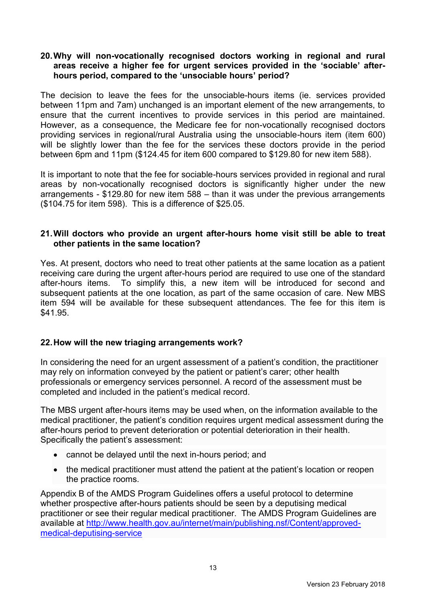#### **20.Why will non-vocationally recognised doctors working in regional and rural areas receive a higher fee for urgent services provided in the 'sociable' afterhours period, compared to the 'unsociable hours' period?**

The decision to leave the fees for the unsociable-hours items (ie. services provided between 11pm and 7am) unchanged is an important element of the new arrangements, to ensure that the current incentives to provide services in this period are maintained. However, as a consequence, the Medicare fee for non-vocationally recognised doctors providing services in regional/rural Australia using the unsociable-hours item (item 600) will be slightly lower than the fee for the services these doctors provide in the period between 6pm and 11pm (\$124.45 for item 600 compared to \$129.80 for new item 588).

It is important to note that the fee for sociable-hours services provided in regional and rural areas by non-vocationally recognised doctors is significantly higher under the new arrangements - \$129.80 for new item 588 – than it was under the previous arrangements (\$104.75 for item 598). This is a difference of \$25.05.

#### **21.Will doctors who provide an urgent after-hours home visit still be able to treat other patients in the same location?**

Yes. At present, doctors who need to treat other patients at the same location as a patient receiving care during the urgent after-hours period are required to use one of the standard after-hours items. To simplify this, a new item will be introduced for second and subsequent patients at the one location, as part of the same occasion of care. New MBS item 594 will be available for these subsequent attendances. The fee for this item is \$41.95.

## **22.How will the new triaging arrangements work?**

In considering the need for an urgent assessment of a patient's condition, the practitioner may rely on information conveyed by the patient or patient's carer; other health professionals or emergency services personnel. A record of the assessment must be completed and included in the patient's medical record.

The MBS urgent after-hours items may be used when, on the information available to the medical practitioner, the patient's condition requires urgent medical assessment during the after-hours period to prevent deterioration or potential deterioration in their health. Specifically the patient's assessment:

- cannot be delayed until the next in-hours period; and
- the medical practitioner must attend the patient at the patient's location or reopen the practice rooms.

Appendix B of the AMDS Program Guidelines offers a useful protocol to determine whether prospective after-hours patients should be seen by a deputising medical practitioner or see their regular medical practitioner. The AMDS Program Guidelines are available at [http://www.health.gov.au/internet/main/publishing.nsf/Content/approved](http://www.health.gov.au/internet/main/publishing.nsf/Content/approved-medical-deputising-service)[medical-deputising-service](http://www.health.gov.au/internet/main/publishing.nsf/Content/approved-medical-deputising-service)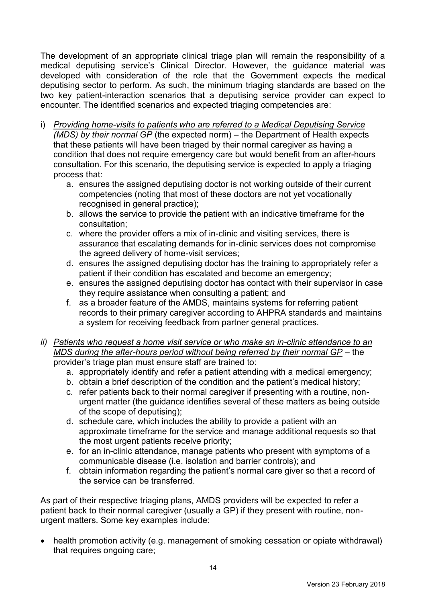The development of an appropriate clinical triage plan will remain the responsibility of a medical deputising service's Clinical Director. However, the guidance material was developed with consideration of the role that the Government expects the medical deputising sector to perform. As such, the minimum triaging standards are based on the two key patient-interaction scenarios that a deputising service provider can expect to encounter. The identified scenarios and expected triaging competencies are:

- i) *Providing home-visits to patients who are referred to a Medical Deputising Service (MDS) by their normal GP* (the expected norm) – the Department of Health expects that these patients will have been triaged by their normal caregiver as having a condition that does not require emergency care but would benefit from an after-hours consultation. For this scenario, the deputising service is expected to apply a triaging process that:
	- a. ensures the assigned deputising doctor is not working outside of their current competencies (noting that most of these doctors are not yet vocationally recognised in general practice);
	- b. allows the service to provide the patient with an indicative timeframe for the consultation;
	- c. where the provider offers a mix of in-clinic and visiting services, there is assurance that escalating demands for in-clinic services does not compromise the agreed delivery of home-visit services;
	- d. ensures the assigned deputising doctor has the training to appropriately refer a patient if their condition has escalated and become an emergency;
	- e. ensures the assigned deputising doctor has contact with their supervisor in case they require assistance when consulting a patient; and
	- f. as a broader feature of the AMDS, maintains systems for referring patient records to their primary caregiver according to AHPRA standards and maintains a system for receiving feedback from partner general practices.
- *ii) Patients who request a home visit service or who make an in-clinic attendance to an MDS during the after-hours period without being referred by their normal GP* – the provider's triage plan must ensure staff are trained to:
	- a. appropriately identify and refer a patient attending with a medical emergency;
	- b. obtain a brief description of the condition and the patient's medical history;
	- c. refer patients back to their normal caregiver if presenting with a routine, nonurgent matter (the guidance identifies several of these matters as being outside of the scope of deputising);
	- d. schedule care, which includes the ability to provide a patient with an approximate timeframe for the service and manage additional requests so that the most urgent patients receive priority;
	- e. for an in-clinic attendance, manage patients who present with symptoms of a communicable disease (i.e. isolation and barrier controls); and
	- f. obtain information regarding the patient's normal care giver so that a record of the service can be transferred.

As part of their respective triaging plans, AMDS providers will be expected to refer a patient back to their normal caregiver (usually a GP) if they present with routine, nonurgent matters. Some key examples include:

 health promotion activity (e.g. management of smoking cessation or opiate withdrawal) that requires ongoing care;